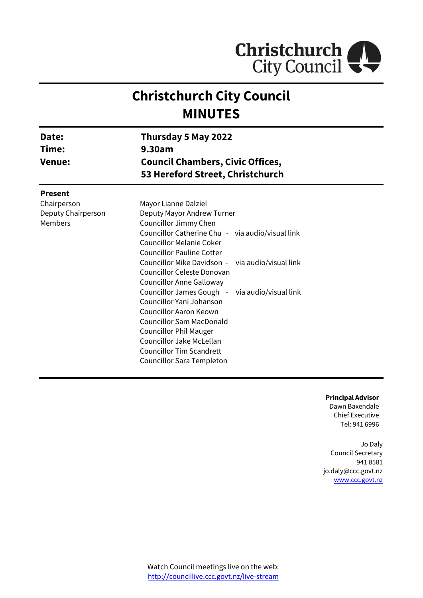

# **Christchurch City Council MINUTES**

| Date:<br>Time:<br><b>Venue:</b>                     | Thursday 5 May 2022<br>9.30am<br><b>Council Chambers, Civic Offices,</b><br>53 Hereford Street, Christchurch                                                                                                                                                                                                                                                                                                                                                                                                                                                    |  |
|-----------------------------------------------------|-----------------------------------------------------------------------------------------------------------------------------------------------------------------------------------------------------------------------------------------------------------------------------------------------------------------------------------------------------------------------------------------------------------------------------------------------------------------------------------------------------------------------------------------------------------------|--|
| <b>Present</b>                                      |                                                                                                                                                                                                                                                                                                                                                                                                                                                                                                                                                                 |  |
| Chairperson<br>Deputy Chairperson<br><b>Members</b> | Mayor Lianne Dalziel<br>Deputy Mayor Andrew Turner<br>Councillor Jimmy Chen<br>Councillor Catherine Chu - via audio/visual link<br>Councillor Melanie Coker<br><b>Councillor Pauline Cotter</b><br>Councillor Mike Davidson - via audio/visual link<br>Councillor Celeste Donovan<br><b>Councillor Anne Galloway</b><br>Councillor James Gough - via audio/visual link<br>Councillor Yani Johanson<br>Councillor Aaron Keown<br><b>Councillor Sam MacDonald</b><br><b>Councillor Phil Mauger</b><br>Councillor Jake McLellan<br><b>Councillor Tim Scandrett</b> |  |

**Principal Advisor**

Dawn Baxendale Chief Executive Tel: 941 6996

Jo Daly Council Secretary 941 8581 jo.daly@ccc.govt.nz [www.ccc.govt.nz](http://www.ccc.govt.nz/)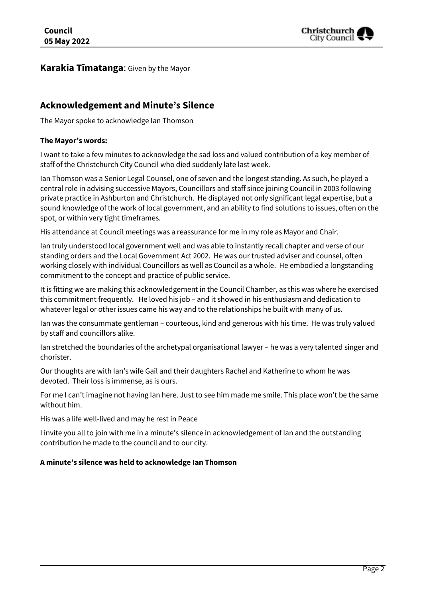

#### **Karakia Tīmatanga**: Given by the Mayor

# **Acknowledgement and Minute's Silence**

The Mayor spoke to acknowledge Ian Thomson

#### **The Mayor's words:**

I want to take a few minutes to acknowledge the sad loss and valued contribution of a key member of staff of the Christchurch City Council who died suddenly late last week.

Ian Thomson was a Senior Legal Counsel, one of seven and the longest standing. As such, he played a central role in advising successive Mayors, Councillors and staff since joining Council in 2003 following private practice in Ashburton and Christchurch. He displayed not only significant legal expertise, but a sound knowledge of the work of local government, and an ability to find solutions to issues, often on the spot, or within very tight timeframes.

His attendance at Council meetings was a reassurance for me in my role as Mayor and Chair.

Ian truly understood local government well and was able to instantly recall chapter and verse of our standing orders and the Local Government Act 2002. He was our trusted adviser and counsel, often working closely with individual Councillors as well as Council as a whole. He embodied a longstanding commitment to the concept and practice of public service.

It is fitting we are making this acknowledgement in the Council Chamber, as this was where he exercised this commitment frequently. He loved his job – and it showed in his enthusiasm and dedication to whatever legal or other issues came his way and to the relationships he built with many of us.

Ian was the consummate gentleman – courteous, kind and generous with his time. He was truly valued by staff and councillors alike.

Ian stretched the boundaries of the archetypal organisational lawyer – he was a very talented singer and chorister.

Our thoughts are with Ian's wife Gail and their daughters Rachel and Katherine to whom he was devoted. Their loss is immense, as is ours.

For me I can't imagine not having Ian here. Just to see him made me smile. This place won't be the same without him.

His was a life well-lived and may he rest in Peace

I invite you all to join with me in a minute's silence in acknowledgement of Ian and the outstanding contribution he made to the council and to our city.

#### **A minute's silence was held to acknowledge Ian Thomson**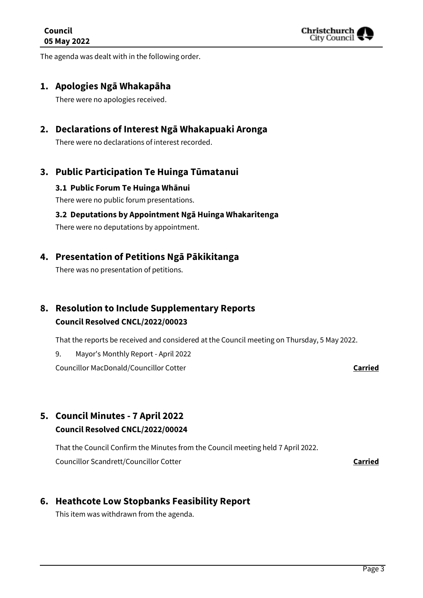

The agenda was dealt with in the following order.

#### **1. Apologies Ngā Whakapāha**

There were no apologies received.

# **2. Declarations of Interest Ngā Whakapuaki Aronga**

There were no declarations of interest recorded.

## **3. Public Participation Te Huinga Tūmatanui**

#### **3.1 Public Forum Te Huinga Whānui**

There were no public forum presentations.

#### **3.2 Deputations by Appointment Ngā Huinga Whakaritenga**

There were no deputations by appointment.

## **4. Presentation of Petitions Ngā Pākikitanga**

There was no presentation of petitions.

# **8. Resolution to Include Supplementary Reports Council Resolved CNCL/2022/00023**

That the reports be received and considered at the Council meeting on Thursday, 5 May 2022.

9. Mayor's Monthly Report - April 2022

Councillor MacDonald/Councillor Cotter **Carried**

# **5. Council Minutes - 7 April 2022 Council Resolved CNCL/2022/00024**

That the Council Confirm the Minutes from the Council meeting held 7 April 2022. Councillor Scandrett/Councillor Cotter **Carried**

# **6. Heathcote Low Stopbanks Feasibility Report**

This item was withdrawn from the agenda.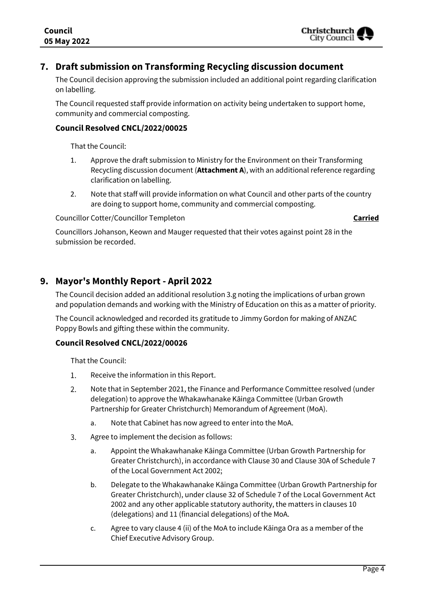

# **7. Draft submission on Transforming Recycling discussion document**

The Council decision approving the submission included an additional point regarding clarification on labelling.

The Council requested staff provide information on activity being undertaken to support home, community and commercial composting.

#### **Council Resolved CNCL/2022/00025**

That the Council:

- 1. Approve the draft submission to Ministry for the Environment on their Transforming Recycling discussion document (**Attachment A**), with an additional reference regarding clarification on labelling.
- 2. Note that staff will provide information on what Council and other parts of the country are doing to support home, community and commercial composting.

Councillor Cotter/Councillor Templeton **Carried**

Councillors Johanson, Keown and Mauger requested that their votes against point 28 in the submission be recorded.

## **9. Mayor's Monthly Report - April 2022**

The Council decision added an additional resolution 3.g noting the implications of urban grown and population demands and working with the Ministry of Education on this as a matter of priority.

The Council acknowledged and recorded its gratitude to Jimmy Gordon for making of ANZAC Poppy Bowls and gifting these within the community.

#### **Council Resolved CNCL/2022/00026**

That the Council:

- $1.$ Receive the information in this Report.
- $2.$ Note that in September 2021, the Finance and Performance Committee resolved (under delegation) to approve the Whakawhanake Kāinga Committee (Urban Growth Partnership for Greater Christchurch) Memorandum of Agreement (MoA).
	- a. Note that Cabinet has now agreed to enter into the MoA.
- 3. Agree to implement the decision as follows:
	- a. Appoint the Whakawhanake Kāinga Committee (Urban Growth Partnership for Greater Christchurch), in accordance with Clause 30 and Clause 30A of Schedule 7 of the Local Government Act 2002;
	- b. Delegate to the Whakawhanake Kāinga Committee (Urban Growth Partnership for Greater Christchurch), under clause 32 of Schedule 7 of the Local Government Act 2002 and any other applicable statutory authority, the matters in clauses 10 (delegations) and 11 (financial delegations) of the MoA.
	- c. Agree to vary clause 4 (ii) of the MoA to include Kāinga Ora as a member of the Chief Executive Advisory Group.